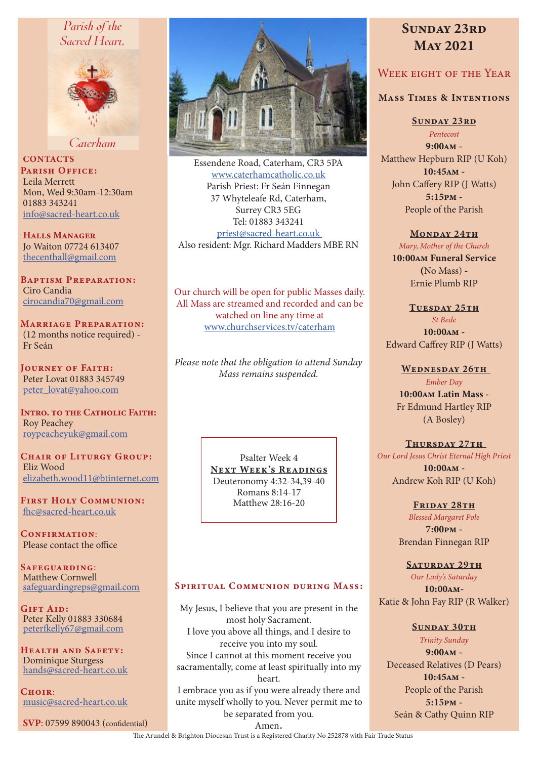# Parish of the Sacred Heart.



Caterham

**CONTACTS** PARISH OFFICE: Leila Merrett Mon, Wed 9:30am-12:30am 01883 343241 info@sacred-heart.co.uk

Halls Manager Jo Waiton 07724 613407 thecenthall@gmail.com

Baptism Preparation: Ciro Candia cirocandia70@gmail.com

Marriage Preparation: (12 months notice required) - Fr Seán

Journey of Faith: Peter Lovat 01883 345749 peter\_lovat@yahoo.com

INTRO. TO THE CATHOLIC FAITH: Roy Peachey roypeacheyuk@gmail.com

CHAIR OF LITURGY GROUP: Eliz Wood elizabeth.wood11@btinternet.com

First Holy Communion: fhc@sacred-heart.co.uk

CONFIRMATION: Please contact the office

Safeguarding: Matthew Cornwell safeguardingreps@gmail.com

Gift Aid: Peter Kelly 01883 330684 peterfkelly67@gmail.com

Health and Safety: Dominique Sturgess hands@sacred-heart.co.uk

 $C$ HOIR $\cdot$ music@sacred-heart.co.uk

SVP: 07599 890043 (confidential)



Essendene Road, Caterham, CR3 5PA www.caterhamcatholic.co.uk Parish Priest: Fr Seán Finnegan 37 Whyteleafe Rd, Caterham, Surrey CR3 5EG Tel: 01883 343241 priest@sacred-heart.co.uk Also resident: Mgr. Richard Madders MBE RN

Our church will be open for public Masses daily. All Mass are streamed and recorded and can be watched on line any time at www.churchservices.tv/caterham

*Please note that the obligation to attend Sunday Mass remains suspended.*

> Psalter Week 4 NEXT WEEK'S READINGS Deuteronomy 4:32-34,39-40 Romans 8:14-17 Matthew 28:16-20

# SPIRITUAL COMMUNION DURING MASS:

My Jesus, I believe that you are present in the most holy Sacrament. I love you above all things, and I desire to receive you into my soul. Since I cannot at this moment receive you sacramentally, come at least spiritually into my heart. I embrace you as if you were already there and unite myself wholly to you. Never permit me to be separated from you.

# SUNDAY 23RD May 2021

# WEEK EIGHT OF THE YEAR

#### Mass Times & Intentions

SUNDAY 23RD

*Pentecost* 9:00am - Matthew Hepburn RIP (U Koh) 10:45am - John Caffery RIP (J Watts) 5:15pm - People of the Parish

#### MONDAY 24TH

*Mary, Mother of the Church* 10:00am Funeral Service (No Mass) - Ernie Plumb RIP

#### TUESDAY 25TH

*St Bede* 10:00am - Edward Caffrey RIP (J Watts)

#### WEDNESDAY 26TH

*Ember Day*

10:00am Latin Mass - Fr Edmund Hartley RIP (A Bosley)

#### THURSDAY 27TH *Our Lord Jesus Christ Eternal High Priest*

10:00am - Andrew Koh RIP (U Koh)

FRIDAY 28TH *Blessed Margaret Pole* 7:00pm - Brendan Finnegan RIP

#### SATURDAY 29TH

*Our Lady's Saturday* 10:00am-Katie & John Fay RIP (R Walker)

#### SUNDAY 30TH

*Trinity Sunday* 9:00am - Deceased Relatives (D Pears) 10:45am - People of the Parish 5:15pm - Seán & Cathy Quinn RIP

Amen. The Arundel & Brighton Diocesan Trust is a Registered Charity No 252878 with Fair Trade Status